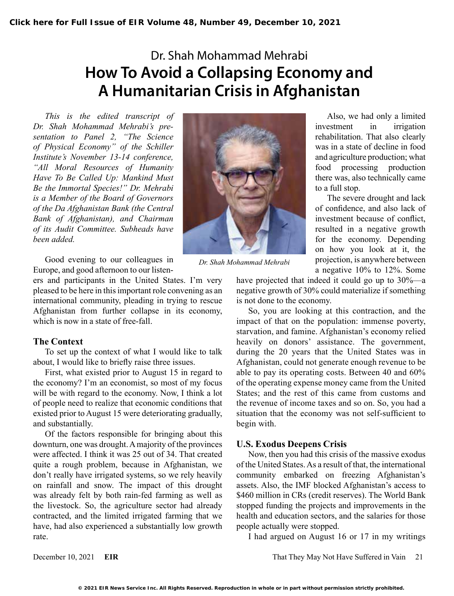# Dr. Shah Mohammad Mehrabi **How To Avoid a Collapsing Economy and A Humanitarian Crisis in Afghanistan**

*This is the edited transcript of Dr. Shah Mohammad Mehrabi's presentation to Panel 2, "The Science of Physical Economy" of the Schiller Institute's November 13-14 conference, "All Moral Resources of Humanity Have To Be Called Up: Mankind Must Be the Immortal Species!" Dr. Mehrabi is a Member of the Board of Governors of the Da Afghanistan Bank (the Central Bank of Afghanistan), and Chairman of its Audit Committee. Subheads have been added.*

Good evening to our colleagues in Europe, and good afternoon to our listen-

ers and participants in the United States. I'm very pleased to be here in this important role convening as an international community, pleading in trying to rescue Afghanistan from further collapse in its economy, which is now in a state of free-fall.

#### **The Context**

To set up the context of what I would like to talk about, I would like to briefly raise three issues.

First, what existed prior to August 15 in regard to the economy? I'm an economist, so most of my focus will be with regard to the economy. Now, I think a lot of people need to realize that economic conditions that existed prior to August 15 were deteriorating gradually, and substantially.

Of the factors responsible for bringing about this downturn, one was drought. A majority of the provinces were affected. I think it was 25 out of 34. That created quite a rough problem, because in Afghanistan, we don't really have irrigated systems, so we rely heavily on rainfall and snow. The impact of this drought was already felt by both rain-fed farming as well as the livestock. So, the agriculture sector had already contracted, and the limited irrigated farming that we have, had also experienced a substantially low growth rate.



*Dr. Shah Mohammad Mehrabi*

Also, we had only a limited investment in irrigation rehabilitation. That also clearly was in a state of decline in food and agriculture production; what food processing production there was, also technically came to a full stop.

The severe drought and lack of confidence, and also lack of investment because of conflict, resulted in a negative growth for the economy. Depending on how you look at it, the projection, is anywhere between a negative 10% to 12%. Some

have projected that indeed it could go up to 30%—a negative growth of 30% could materialize if something is not done to the economy.

So, you are looking at this contraction, and the impact of that on the population: immense poverty, starvation, and famine. Afghanistan's economy relied heavily on donors' assistance. The government, during the 20 years that the United States was in Afghanistan, could not generate enough revenue to be able to pay its operating costs. Between 40 and 60% of the operating expense money came from the United States; and the rest of this came from customs and the revenue of income taxes and so on. So, you had a situation that the economy was not self-sufficient to begin with.

#### **U.S. Exodus Deepens Crisis**

Now, then you had this crisis of the massive exodus of the United States. As a result of that, the international community embarked on freezing Afghanistan's assets. Also, the IMF blocked Afghanistan's access to \$460 million in CRs (credit reserves). The World Bank stopped funding the projects and improvements in the health and education sectors, and the salaries for those people actually were stopped.

I had argued on August 16 or 17 in my writings

December 10, 2021 **EIR** That They May Not Have Suffered in Vain 21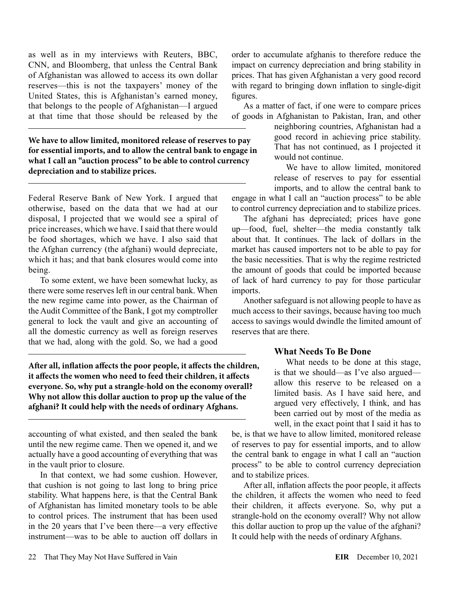as well as in my interviews with Reuters, BBC, CNN, and Bloomberg, that unless the Central Bank of Afghanistan was allowed to access its own dollar reserves—this is not the taxpayers' money of the United States, this is Afghanistan's earned money, that belongs to the people of Afghanistan—I argued at that time that those should be released by the

**We have to allow limited, monitored release of reserves to pay for essential imports, and to allow the central bank to engage in what I call an "auction process" to be able to control currency depreciation and to stabilize prices.**

Federal Reserve Bank of New York. I argued that otherwise, based on the data that we had at our disposal, I projected that we would see a spiral of price increases, which we have. I said that there would be food shortages, which we have. I also said that the Afghan currency (the afghani) would depreciate, which it has; and that bank closures would come into being.

To some extent, we have been somewhat lucky, as there were some reserves left in our central bank. When the new regime came into power, as the Chairman of the Audit Committee of the Bank, I got my comptroller general to lock the vault and give an accounting of all the domestic currency as well as foreign reserves that we had, along with the gold. So, we had a good

**After all, inflation affects the poor people, it affects the children, it affects the women who need to feed their children, it affects everyone. So, why put a strangle-hold on the economy overall? Why not allow this dollar auction to prop up the value of the afghani? It could help with the needs of ordinary Afghans.**

accounting of what existed, and then sealed the bank until the new regime came. Then we opened it, and we actually have a good accounting of everything that was in the vault prior to closure.

In that context, we had some cushion. However, that cushion is not going to last long to bring price stability. What happens here, is that the Central Bank of Afghanistan has limited monetary tools to be able to control prices. The instrument that has been used in the 20 years that I've been there—a very effective instrument—was to be able to auction off dollars in

order to accumulate afghanis to therefore reduce the impact on currency depreciation and bring stability in prices. That has given Afghanistan a very good record with regard to bringing down inflation to single-digit figures.

As a matter of fact, if one were to compare prices of goods in Afghanistan to Pakistan, Iran, and other

neighboring countries, Afghanistan had a good record in achieving price stability. That has not continued, as I projected it would not continue.

We have to allow limited, monitored release of reserves to pay for essential imports, and to allow the central bank to engage in what I call an "auction process" to be able

to control currency depreciation and to stabilize prices.

The afghani has depreciated; prices have gone up—food, fuel, shelter—the media constantly talk about that. It continues. The lack of dollars in the market has caused importers not to be able to pay for the basic necessities. That is why the regime restricted the amount of goods that could be imported because of lack of hard currency to pay for those particular imports.

Another safeguard is not allowing people to have as much access to their savings, because having too much access to savings would dwindle the limited amount of reserves that are there.

#### **What Needs To Be Done**

What needs to be done at this stage, is that we should—as I've also argued allow this reserve to be released on a limited basis. As I have said here, and argued very effectively, I think, and has been carried out by most of the media as well, in the exact point that I said it has to

be, is that we have to allow limited, monitored release of reserves to pay for essential imports, and to allow the central bank to engage in what I call an "auction process" to be able to control currency depreciation and to stabilize prices.

After all, inflation affects the poor people, it affects the children, it affects the women who need to feed their children, it affects everyone. So, why put a strangle-hold on the economy overall? Why not allow this dollar auction to prop up the value of the afghani? It could help with the needs of ordinary Afghans.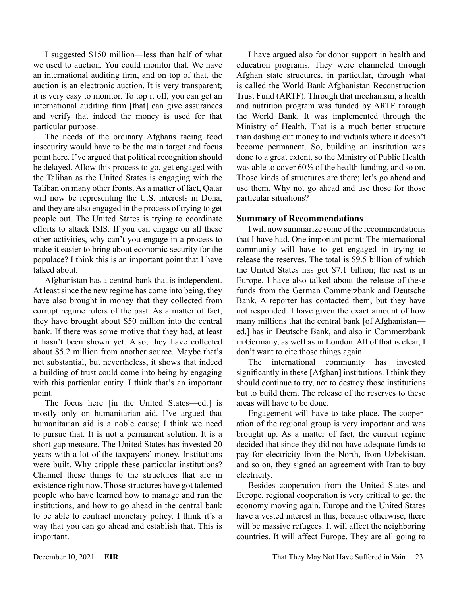I suggested \$150 million—less than half of what we used to auction. You could monitor that. We have an international auditing firm, and on top of that, the auction is an electronic auction. It is very transparent; it is very easy to monitor. To top it off, you can get an international auditing firm [that] can give assurances and verify that indeed the money is used for that particular purpose.

The needs of the ordinary Afghans facing food insecurity would have to be the main target and focus point here. I've argued that political recognition should be delayed. Allow this process to go, get engaged with the Taliban as the United States is engaging with the Taliban on many other fronts. As a matter of fact, Qatar will now be representing the U.S. interests in Doha, and they are also engaged in the process of trying to get people out. The United States is trying to coordinate efforts to attack ISIS. If you can engage on all these other activities, why can't you engage in a process to make it easier to bring about economic security for the populace? I think this is an important point that I have talked about.

Afghanistan has a central bank that is independent. At least since the new regime has come into being, they have also brought in money that they collected from corrupt regime rulers of the past. As a matter of fact, they have brought about \$50 million into the central bank. If there was some motive that they had, at least it hasn't been shown yet. Also, they have collected about \$5.2 million from another source. Maybe that's not substantial, but nevertheless, it shows that indeed a building of trust could come into being by engaging with this particular entity. I think that's an important point.

The focus here [in the United States—ed.] is mostly only on humanitarian aid. I've argued that humanitarian aid is a noble cause; I think we need to pursue that. It is not a permanent solution. It is a short gap measure. The United States has invested 20 years with a lot of the taxpayers' money. Institutions were built. Why cripple these particular institutions? Channel these things to the structures that are in existence right now. Those structures have got talented people who have learned how to manage and run the institutions, and how to go ahead in the central bank to be able to contract monetary policy. I think it's a way that you can go ahead and establish that. This is important.

I have argued also for donor support in health and education programs. They were channeled through Afghan state structures, in particular, through what is called the World Bank Afghanistan Reconstruction Trust Fund (ARTF). Through that mechanism, a health and nutrition program was funded by ARTF through the World Bank. It was implemented through the Ministry of Health. That is a much better structure than dashing out money to individuals where it doesn't become permanent. So, building an institution was done to a great extent, so the Ministry of Public Health was able to cover 60% of the health funding, and so on. Those kinds of structures are there; let's go ahead and use them. Why not go ahead and use those for those particular situations?

#### **Summary of Recommendations**

I will now summarize some of the recommendations that I have had. One important point: The international community will have to get engaged in trying to release the reserves. The total is \$9.5 billion of which the United States has got \$7.1 billion; the rest is in Europe. I have also talked about the release of these funds from the German Commerzbank and Deutsche Bank. A reporter has contacted them, but they have not responded. I have given the exact amount of how many millions that the central bank [of Afghanistan ed.] has in Deutsche Bank, and also in Commerzbank in Germany, as well as in London. All of that is clear, I don't want to cite those things again.

The international community has invested significantly in these [Afghan] institutions. I think they should continue to try, not to destroy those institutions but to build them. The release of the reserves to these areas will have to be done.

Engagement will have to take place. The cooperation of the regional group is very important and was brought up. As a matter of fact, the current regime decided that since they did not have adequate funds to pay for electricity from the North, from Uzbekistan, and so on, they signed an agreement with Iran to buy electricity.

Besides cooperation from the United States and Europe, regional cooperation is very critical to get the economy moving again. Europe and the United States have a vested interest in this, because otherwise, there will be massive refugees. It will affect the neighboring countries. It will affect Europe. They are all going to